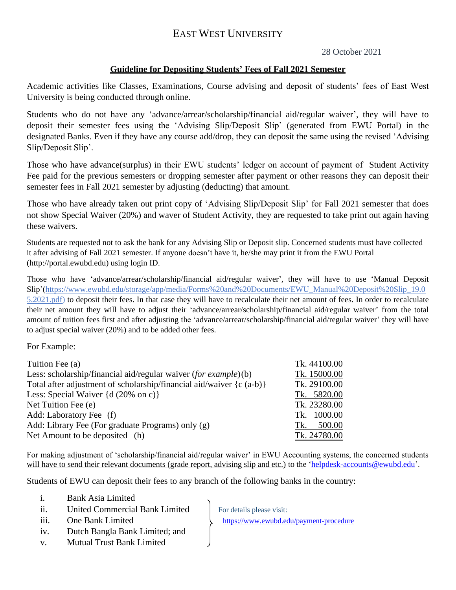## EAST WEST UNIVERSITY

28 October 2021

## **Guideline for Depositing Students' Fees of Fall 2021 Semester**

Academic activities like Classes, Examinations, Course advising and deposit of students' fees of East West University is being conducted through online.

Students who do not have any 'advance/arrear/scholarship/financial aid/regular waiver', they will have to deposit their semester fees using the 'Advising Slip/Deposit Slip' (generated from EWU Portal) in the designated Banks. Even if they have any course add/drop, they can deposit the same using the revised 'Advising Slip/Deposit Slip'.

Those who have advance(surplus) in their EWU students' ledger on account of payment of Student Activity Fee paid for the previous semesters or dropping semester after payment or other reasons they can deposit their semester fees in Fall 2021 semester by adjusting (deducting) that amount.

Those who have already taken out print copy of 'Advising Slip/Deposit Slip' for Fall 2021 semester that does not show Special Waiver (20%) and waver of Student Activity, they are requested to take print out again having these waivers.

Students are requested not to ask the bank for any Advising Slip or Deposit slip. Concerned students must have collected it after advising of Fall 2021 semester. If anyone doesn't have it, he/she may print it from the EWU Portal [\(http://portal.ewubd.edu\)](http://portal.ewubd.edu/) using login ID.

Those who have 'advance/arrear/scholarship/financial aid/regular waiver', they will have to use 'Manual Deposit Slip'[\(https://www.ewubd.edu/storage/app/media/Forms%20and%20Documents/EWU\\_Manual%20Deposit%20Slip\\_19.0](https://www.ewubd.edu/storage/app/media/Forms%20and%20Documents/EWU_Manual%20Deposit%20Slip_19.05.2021.pdf) [5.2021.pdf\)](https://www.ewubd.edu/storage/app/media/Forms%20and%20Documents/EWU_Manual%20Deposit%20Slip_19.05.2021.pdf) to deposit their fees. In that case they will have to recalculate their net amount of fees. In order to recalculate their net amount they will have to adjust their 'advance/arrear/scholarship/financial aid/regular waiver' from the total amount of tuition fees first and after adjusting the 'advance/arrear/scholarship/financial aid/regular waiver' they will have to adjust special waiver (20%) and to be added other fees.

For Example:

| Tuition Fee (a)                                                        | Tk. 44100.00  |
|------------------------------------------------------------------------|---------------|
| Less: scholarship/financial aid/regular waiver (for example)(b)        | Tk. 15000.00  |
| Total after adjustment of scholarship/financial aid/waiver $(c (a-b))$ | Tk. 29100.00  |
| Less: Special Waiver $\{d(20\% \text{ on } c)\}\$                      | Tk. 5820.00   |
| Net Tuition Fee (e)                                                    | Tk. 23280.00  |
| Add: Laboratory Fee (f)                                                | Tk. 1000.00   |
| Add: Library Fee (For graduate Programs) only (g)                      | 500.00<br>Tk. |
| Net Amount to be deposited (h)                                         | Tk. 24780.00  |

For making adjustment of 'scholarship/financial aid/regular waiver' in EWU Accounting systems, the concerned students will have to send their relevant documents (grade report, advising slip and etc.) to the ['helpdesk-accounts@ewubd.edu'](mailto:helpdesk-accounts@ewubd.edu).

Students of EWU can deposit their fees to any branch of the following banks in the country:

- i. Bank Asia Limited
- ii. United Commercial Bank Limited For details please visit:
- 
- iv. Dutch Bangla Bank Limited; and
- v. Mutual Trust Bank Limited

iii. One Bank Limited the <https://www.ewubd.edu/payment-procedure>